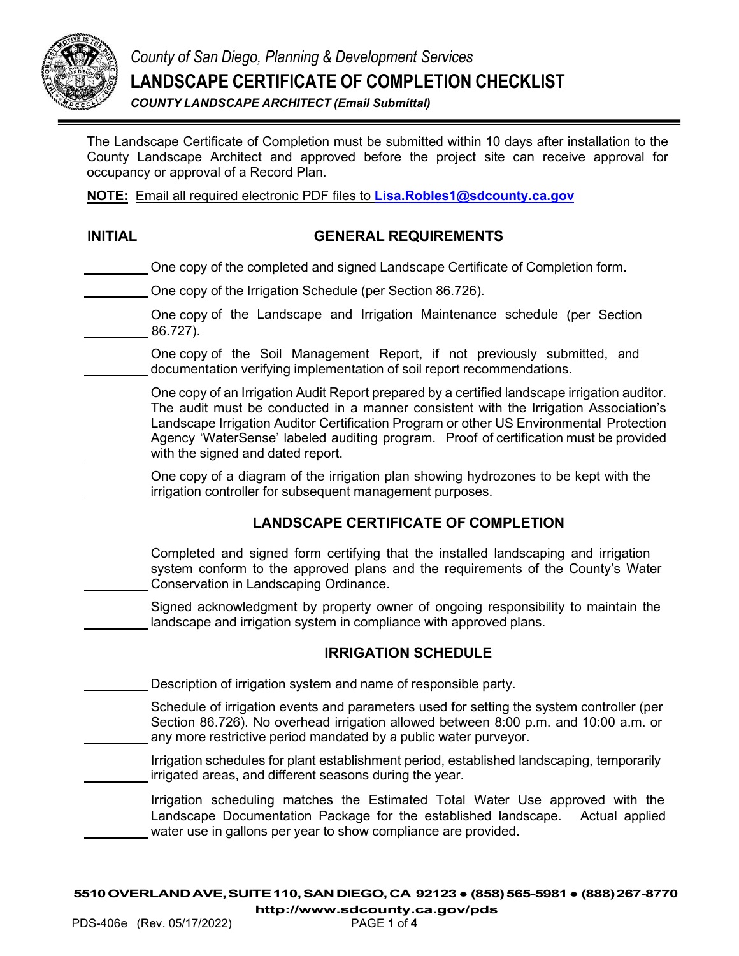

*County of San Diego, Planning & Development Services* **LANDSCAPE CERTIFICATE OF COMPLETION CHECKLIST** *COUNTY LANDSCAPE ARCHITECT (Email Submittal)* 

The Landscape Certificate of Completion must be submitted within 10 days after installation to the County Landscape Architect and approved before the project site can receive approval for occupancy or approval of a Record Plan.

**NOTE:** Email all required electronic PDF files to **Lisa.Robles1@sdcounty.ca.gov**

#### **INITIAL GENERAL REQUIREMENTS**

One copy of the completed and signed Landscape Certificate of Completion form.

One copy of the Irrigation Schedule (per Section 86.726).

One copy of the Landscape and Irrigation Maintenance schedule (per Section 86.727).

One copy of the Soil Management Report, if not previously submitted, and documentation verifying implementation of soil report recommendations.

One copy of an Irrigation Audit Report prepared by a certified landscape irrigation auditor. The audit must be conducted in a manner consistent with the Irrigation Association's Landscape Irrigation Auditor Certification Program or other US Environmental Protection Agency 'WaterSense' labeled auditing program. Proof of certification must be provided with the signed and dated report.

One copy of a diagram of the irrigation plan showing hydrozones to be kept with the irrigation controller for subsequent management purposes.

### **LANDSCAPE CERTIFICATE OF COMPLETION**

Completed and signed form certifying that the installed landscaping and irrigation system conform to the approved plans and the requirements of the County's Water Conservation in Landscaping Ordinance.

Signed acknowledgment by property owner of ongoing responsibility to maintain the landscape and irrigation system in compliance with approved plans.

#### **IRRIGATION SCHEDULE**

Description of irrigation system and name of responsible party.

Schedule of irrigation events and parameters used for setting the system controller (per Section 86.726). No overhead irrigation allowed between 8:00 p.m. and 10:00 a.m. or any more restrictive period mandated by a public water purveyor.

Irrigation schedules for plant establishment period, established landscaping, temporarily irrigated areas, and different seasons during the year.

Irrigation scheduling matches the Estimated Total Water Use approved with the Landscape Documentation Package for the established landscape. Actual applied water use in gallons per year to show compliance are provided.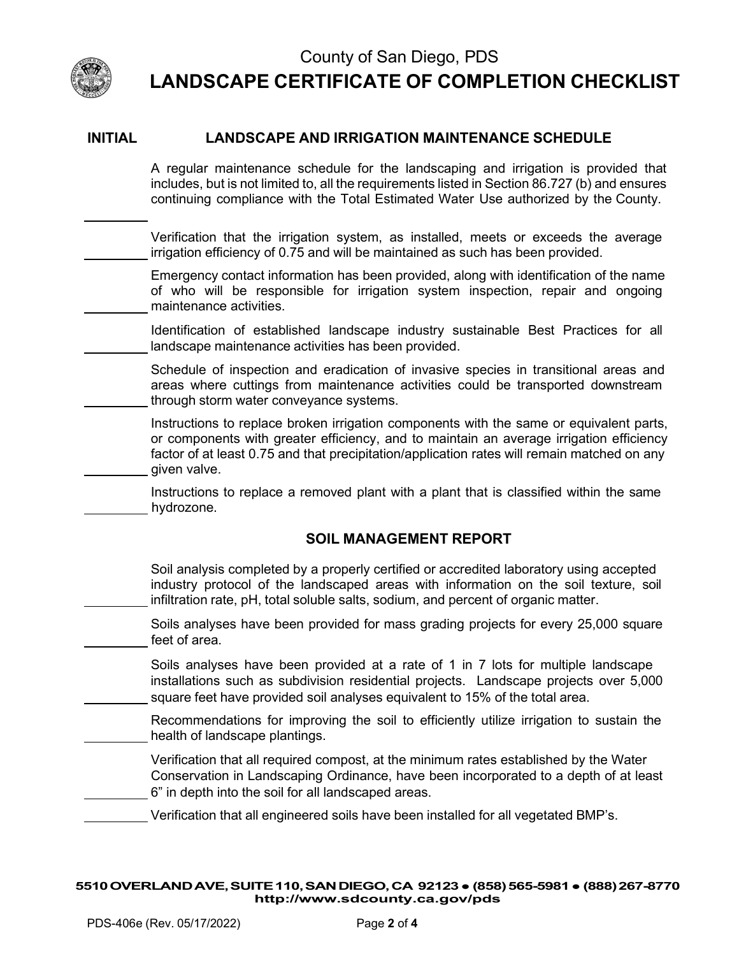

j.

### County of San Diego, PDS **LANDSCAPE CERTIFICATE OF COMPLETION CHECKLIST**

#### **INITIAL LANDSCAPE AND IRRIGATION MAINTENANCE SCHEDULE**

A regular maintenance schedule for the landscaping and irrigation is provided that includes, but is not limited to, all the requirements listed in Section 86.727 (b) and ensures continuing compliance with the Total Estimated Water Use authorized by the County.

Verification that the irrigation system, as installed, meets or exceeds the average irrigation efficiency of 0.75 and will be maintained as such has been provided.

Emergency contact information has been provided, along with identification of the name of who will be responsible for irrigation system inspection, repair and ongoing maintenance activities.

Identification of established landscape industry sustainable Best Practices for all landscape maintenance activities has been provided.

Schedule of inspection and eradication of invasive species in transitional areas and areas where cuttings from maintenance activities could be transported downstream through storm water conveyance systems.

Instructions to replace broken irrigation components with the same or equivalent parts, or components with greater efficiency, and to maintain an average irrigation efficiency factor of at least 0.75 and that precipitation/application rates will remain matched on any given valve.

Instructions to replace a removed plant with a plant that is classified within the same hydrozone.

#### **SOIL MANAGEMENT REPORT**

Soil analysis completed by a properly certified or accredited laboratory using accepted industry protocol of the landscaped areas with information on the soil texture, soil infiltration rate, pH, total soluble salts, sodium, and percent of organic matter.

Soils analyses have been provided for mass grading projects for every 25,000 square feet of area.

Soils analyses have been provided at a rate of 1 in 7 lots for multiple landscape installations such as subdivision residential projects. Landscape projects over 5,000 square feet have provided soil analyses equivalent to 15% of the total area.

Recommendations for improving the soil to efficiently utilize irrigation to sustain the health of landscape plantings.

Verification that all required compost, at the minimum rates established by the Water Conservation in Landscaping Ordinance, have been incorporated to a depth of at least 6" in depth into the soil for all landscaped areas.

Verification that all engineered soils have been installed for all vegetated BMP's.

**5510OVERLANDAVE,SUITE110,SANDIEGO,CA 92123**● **(858)565-5981**● **(888)267-8770 <http://www.sdcounty.ca.gov/pds>**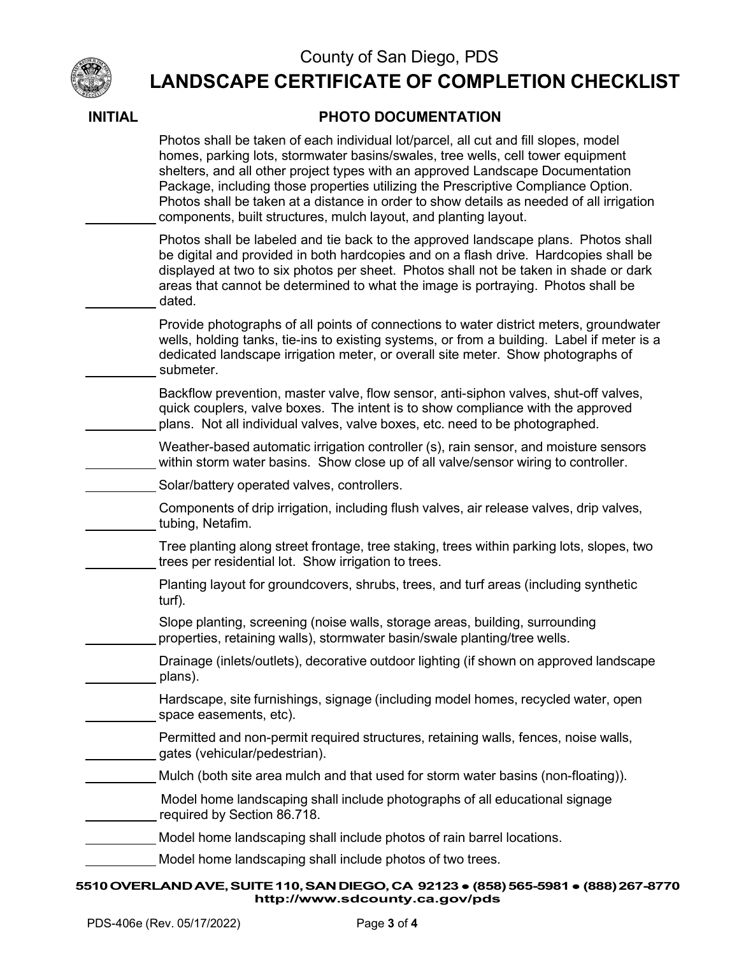

## County of San Diego, PDS

# **LANDSCAPE CERTIFICATE OF COMPLETION CHECKLIST**

| Photos shall be taken of each individual lot/parcel, all cut and fill slopes, model<br>homes, parking lots, stormwater basins/swales, tree wells, cell tower equipment<br>shelters, and all other project types with an approved Landscape Documentation<br>Package, including those properties utilizing the Prescriptive Compliance Option.<br>Photos shall be taken at a distance in order to show details as needed of all irrigation<br>components, built structures, mulch layout, and planting layout. |
|---------------------------------------------------------------------------------------------------------------------------------------------------------------------------------------------------------------------------------------------------------------------------------------------------------------------------------------------------------------------------------------------------------------------------------------------------------------------------------------------------------------|
| Photos shall be labeled and tie back to the approved landscape plans. Photos shall<br>be digital and provided in both hardcopies and on a flash drive. Hardcopies shall be<br>displayed at two to six photos per sheet. Photos shall not be taken in shade or dark<br>areas that cannot be determined to what the image is portraying. Photos shall be<br>dated.                                                                                                                                              |
| Provide photographs of all points of connections to water district meters, groundwater<br>wells, holding tanks, tie-ins to existing systems, or from a building. Label if meter is a<br>dedicated landscape irrigation meter, or overall site meter. Show photographs of<br>submeter.                                                                                                                                                                                                                         |
| Backflow prevention, master valve, flow sensor, anti-siphon valves, shut-off valves,<br>quick couplers, valve boxes. The intent is to show compliance with the approved<br>plans. Not all individual valves, valve boxes, etc. need to be photographed.                                                                                                                                                                                                                                                       |
| Weather-based automatic irrigation controller (s), rain sensor, and moisture sensors<br>within storm water basins. Show close up of all valve/sensor wiring to controller.                                                                                                                                                                                                                                                                                                                                    |
| Solar/battery operated valves, controllers.                                                                                                                                                                                                                                                                                                                                                                                                                                                                   |
| Components of drip irrigation, including flush valves, air release valves, drip valves,<br>tubing, Netafim.                                                                                                                                                                                                                                                                                                                                                                                                   |
| Tree planting along street frontage, tree staking, trees within parking lots, slopes, two<br>trees per residential lot. Show irrigation to trees.                                                                                                                                                                                                                                                                                                                                                             |
| Planting layout for groundcovers, shrubs, trees, and turf areas (including synthetic<br>turf).                                                                                                                                                                                                                                                                                                                                                                                                                |
| Slope planting, screening (noise walls, storage areas, building, surrounding<br>properties, retaining walls), stormwater basin/swale planting/tree wells.                                                                                                                                                                                                                                                                                                                                                     |
| Drainage (inlets/outlets), decorative outdoor lighting (if shown on approved landscape<br>plans).                                                                                                                                                                                                                                                                                                                                                                                                             |
| Hardscape, site furnishings, signage (including model homes, recycled water, open<br>space easements, etc).                                                                                                                                                                                                                                                                                                                                                                                                   |
| Permitted and non-permit required structures, retaining walls, fences, noise walls,<br>gates (vehicular/pedestrian).                                                                                                                                                                                                                                                                                                                                                                                          |
| Mulch (both site area mulch and that used for storm water basins (non-floating)).                                                                                                                                                                                                                                                                                                                                                                                                                             |
| Model home landscaping shall include photographs of all educational signage<br>required by Section 86.718.                                                                                                                                                                                                                                                                                                                                                                                                    |
| Model home landscaping shall include photos of rain barrel locations.                                                                                                                                                                                                                                                                                                                                                                                                                                         |
| Model home landscaping shall include photos of two trees.                                                                                                                                                                                                                                                                                                                                                                                                                                                     |
| 5510 OVERLAND AVE, SUITE 110, SAN DIEGO, CA 92123 • (858) 565-5981 • (888) 267-8770                                                                                                                                                                                                                                                                                                                                                                                                                           |

#### **INITIAL PHOTO DOCUMENTATION**

PDS-406e (Rev. 05/17/2022) Page **3** of **4**

**<http://www.sdcounty.ca.gov/pds>**